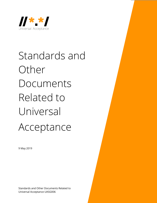

# Standards and Other Documents Related to Universal Acceptance

9 May 2019

Standards and Other Documents Related to Universal Acceptance UASG006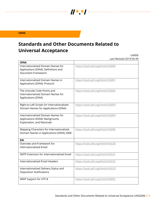## **UASG**

## **Standards and Other Documents Related to Universal Acceptance**

 $\frac{1}{2}$   $\frac{1}{2}$   $\frac{1}{2}$   $\frac{1}{2}$   $\frac{1}{2}$   $\frac{1}{2}$   $\frac{1}{2}$   $\frac{1}{2}$   $\frac{1}{2}$   $\frac{1}{2}$   $\frac{1}{2}$   $\frac{1}{2}$   $\frac{1}{2}$   $\frac{1}{2}$   $\frac{1}{2}$   $\frac{1}{2}$   $\frac{1}{2}$   $\frac{1}{2}$   $\frac{1}{2}$   $\frac{1}{2}$   $\frac{1}{2}$   $\frac{1}{2}$ 

UA006 Last Revised 2019-05-09

| <b>IDNA</b>                                                                                             |                                     |
|---------------------------------------------------------------------------------------------------------|-------------------------------------|
| Internationalized Domain Names for<br>Applications (IDNA): Definitions and<br><b>Document Framework</b> | https://tools.ietf.org/html/rfc5890 |
| Internationalized Domain Names in<br>Applications (IDNA): Protocol                                      | https://tools.ietf.org/html/rfc5891 |
| The Unicode Code Points and<br>Internationalized Domain Names for<br>Applications (IDNA)                | https://tools.ietf.org/html/rfc5892 |
| Right-to-Left Scripts for Internationalized<br>Domain Names for Applications (IDNA)                     | https://tools.ietf.org/html/rfc5893 |
| Internationalized Domain Names for<br>Applications (IDNA): Background,<br>Explanation, and Rationale    | https://tools.ietf.org/html/rfc5894 |
| Mapping Characters for Internationalized<br>Domain Names in Applications (IDNA) 2008                    | https://tools.ietf.org/html/rfc5895 |
| EAI                                                                                                     |                                     |
| Overview and Framework for<br><b>Internationalized Email</b>                                            | https://tools.ietf.org/html/rfc6530 |
| <b>SMTP Extension for Internationalized Email</b>                                                       | https://tools.ietf.org/html/rfc6531 |
| Internationalized Email Headers                                                                         | https://tools.ietf.org/html/rfc6532 |
| Internationalized Delivery Status and<br><b>Disposition Notifications</b>                               | https://tools.ietf.org/html/rfc6533 |
| IMAP Support for UTF-8                                                                                  | https://tools.ietf.org/html/rfc6855 |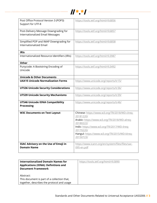

| Post Office Protocol Version 3 (POP3)         | https://tools.ietf.org/html/rfc6856                       |
|-----------------------------------------------|-----------------------------------------------------------|
| Support for UTF-8                             |                                                           |
| Post-Delivery Message Downgrading for         | https://tools.ietf.org/html/rfc6857                       |
| Internationalized Email Messages              |                                                           |
|                                               |                                                           |
| Simplified POP and IMAP Downgrading for       | https://tools.ietf.org/html/rfc6858                       |
| <b>Internationalized Email</b>                |                                                           |
| <b>IRIS</b>                                   |                                                           |
| Internationalized Resource Identifiers (IRIs) | https://tools.ietf.org/html/rfc3987                       |
|                                               |                                                           |
| <b>Other</b>                                  |                                                           |
| Punycode: A Bootstring Encoding of            | https://tools.ietf.org/html/rfc3492                       |
| Unicode                                       |                                                           |
| <b>Unicode &amp; Other Documents</b>          |                                                           |
| <b>UAX15 Unicode Normalization Forms</b>      | https://www.unicode.org/reports/tr15/                     |
|                                               |                                                           |
| <b>UTS36 Unicode Security Considerations</b>  | https://www.unicode.org/reports/tr36/                     |
| <b>UTS39 Unicode Security Mechanisms</b>      | https://www.unicode.org/reports/tr39/                     |
| <b>UTS46 Unicode IDNA Compatibility</b>       | https://www.unicode.org/reports/tr46/                     |
| <b>Processing</b>                             |                                                           |
| <b>W3C Documents on Text Layout</b>           | Chinese: https://www.w3.org/TR/2018/WD-clreq-             |
|                                               | 20181220/                                                 |
|                                               | Arabic: https://www.w3.org/TR/2018/WD-alreq-              |
|                                               | 20180222/                                                 |
|                                               | Indic: https://www.w3.org/TR/2017/WD-ilreq-               |
|                                               | 20170220/                                                 |
|                                               | Hangul: https://www.w3.org/TR/2015/WD-klreq-<br>20150723/ |
| SSAC Advisory on the Use of Emoji in          | https://www.icann.org/en/system/files/files/sac-          |
| <b>Domain Name</b>                            | 095-en.pdf                                                |
|                                               |                                                           |

| <b>Internationalized Domain Names for</b>   | https://tools.ietf.org/html/rfc5890 |
|---------------------------------------------|-------------------------------------|
| <b>Applications (IDNA): Definitions and</b> |                                     |
| <b>Document Framework</b>                   |                                     |
|                                             |                                     |
| Abstract:                                   |                                     |
| This document is part of a collection that, |                                     |
| together, describes the protocol and usage  |                                     |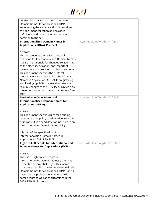

| context for a revision of Internationalized        |                                     |
|----------------------------------------------------|-------------------------------------|
| Domain Names for Applications (IDNA),              |                                     |
| superseding the earlier version. It describes      |                                     |
| the document collection and provides               |                                     |
| definitions and other materials that are           |                                     |
| common to the set.                                 |                                     |
| <b>Internationalized Domain Names in</b>           | https://tools.ietf.org/html/rfc5891 |
| <b>Applications (IDNA): Protocol</b>               |                                     |
|                                                    |                                     |
| Abstract:                                          |                                     |
| This document is the revised protocol              |                                     |
| definition for Internationalized Domain Names      |                                     |
|                                                    |                                     |
| (IDNs). The rationale for changes, relationship    |                                     |
| to the older specification, and important          |                                     |
| terminology are provided in other documents.       |                                     |
| This document specifies the protocol               |                                     |
| mechanism, called Internationalized Domain         |                                     |
| Names in Applications (IDNA), for registering      |                                     |
| and looking up IDNs in a way that does not         |                                     |
| require changes to the DNS itself. IDNA is only    |                                     |
| meant for processing domain names, not free        |                                     |
| text.                                              |                                     |
| The Unicode Code Points and                        | https://tools.ietf.org/html/rfc5892 |
| <b>Internationalized Domain Names for</b>          |                                     |
| <b>Applications (IDNA)</b>                         |                                     |
|                                                    |                                     |
| Abstract:                                          |                                     |
| This document specifies rules for deciding         |                                     |
| whether a code point, considered in isolation      |                                     |
| or in context, is a candidate for inclusion in an  |                                     |
| Internationalized Domain Name (IDN).               |                                     |
|                                                    |                                     |
| It is part of the specification of                 |                                     |
| Internationalizing Domain Names in                 |                                     |
| Applications 2008 (IDNA2008).                      |                                     |
| <b>Right-to-Left Scripts for Internationalized</b> | https://tools.ietf.org/html/rfc5893 |
| <b>Domain Names for Applications (IDNA)</b>        |                                     |
|                                                    |                                     |
| Abstract:                                          |                                     |
| The use of right-to-left scripts in                |                                     |
| Internationalized Domain Names (IDNs) has          |                                     |
| presented several challenges. This memo            |                                     |
| provides a new Bidi rule for Internationalized     |                                     |
| Domain Names for Applications (IDNA) labels,       |                                     |
| based on the problems encountered with             |                                     |
| some scripts as well as shortcomings in the        |                                     |
| 2003 IDNA Bidi criterion.                          |                                     |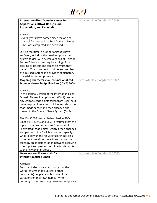

| <b>Internationalized Domain Names for</b>        | https://tools.ietf.org/html/rfc5894 |
|--------------------------------------------------|-------------------------------------|
| <b>Applications (IDNA): Background,</b>          |                                     |
| <b>Explanation, and Rationale</b>                |                                     |
|                                                  |                                     |
|                                                  |                                     |
| Abstract:                                        |                                     |
| Several years have passed since the original     |                                     |
| protocol for Internationalized Domain Names      |                                     |
|                                                  |                                     |
| (IDNs) was completed and deployed.               |                                     |
|                                                  |                                     |
| During that time, a number of issues have        |                                     |
|                                                  |                                     |
| surfaced, including the need to update the       |                                     |
| system to deal with newer versions of Unicode.   |                                     |
| Some of these issues require tuning of the       |                                     |
| existing protocols and tables on which they      |                                     |
| depend. This document provides an overview       |                                     |
|                                                  |                                     |
| of a revised system and provides explanatory     |                                     |
| material for its components.                     |                                     |
| <b>Mapping Characters for Internationalized</b>  | https://tools.ietf.org/html/rfc5895 |
| <b>Domain Names in Applications (IDNA) 2008</b>  |                                     |
|                                                  |                                     |
|                                                  |                                     |
| Abstract:                                        |                                     |
| In the original version of the Internationalized |                                     |
| Domain Names in Applications (IDNA) protocol,    |                                     |
| any Unicode code points taken from user input    |                                     |
|                                                  |                                     |
| were mapped into a set of Unicode code points    |                                     |
| that "made sense" and then encoded and           |                                     |
| passed to the Domain Name System (DNS).          |                                     |
|                                                  |                                     |
| The IDNA2008 protocol (described in RFCs         |                                     |
|                                                  |                                     |
| 5890, 5891, 5892, and 5893) presumes that the    |                                     |
| input to the protocol comes from a set of        |                                     |
| "permitted" code points, which it then encodes   |                                     |
| and passes to the DNS, but does not specify      |                                     |
| what to do with the result of user input. This   |                                     |
| document describes the actions that can be       |                                     |
|                                                  |                                     |
| taken by an implementation between receiving     |                                     |
| user input and passing permitted code points     |                                     |
| to the new IDNA protocol.                        |                                     |
| <b>Overview and Framework for</b>                | https://tools.ietf.org/html/rfc6530 |
| <b>Internationalized Email</b>                   |                                     |
|                                                  |                                     |
|                                                  |                                     |
| Abstract:                                        |                                     |
| Full use of electronic mail throughout the       |                                     |
| world requires that (subject to other            |                                     |
| constraints) people be able to use close         |                                     |
| variations on their own names (written           |                                     |
|                                                  |                                     |
| correctly in their own languages and scripts) as |                                     |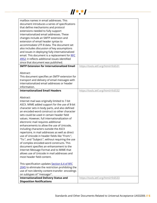

| mailbox names in email addresses. This                                           |                                     |
|----------------------------------------------------------------------------------|-------------------------------------|
| document introduces a series of specifications                                   |                                     |
| that define mechanisms and protocol                                              |                                     |
| extensions needed to fully support                                               |                                     |
| internationalized email addresses. These                                         |                                     |
| changes include an SMTP extension and                                            |                                     |
| extension of email header syntax to                                              |                                     |
| accommodate UTF-8 data. The document set                                         |                                     |
| also includes discussion of key assumptions                                      |                                     |
| and issues in deploying fully internationalized                                  |                                     |
| email. This document is a replacement for RFC                                    |                                     |
| 4952; it reflects additional issues identified                                   |                                     |
| since that document was published.                                               |                                     |
| <b>SMTP Extension for Internationalized Email</b>                                |                                     |
|                                                                                  | https://tools.ietf.org/html/rfc6531 |
| Abstract:                                                                        |                                     |
|                                                                                  |                                     |
| This document specifies an SMTP extension for                                    |                                     |
| transport and delivery of email messages with                                    |                                     |
| internationalized email addresses or header                                      |                                     |
| information.                                                                     |                                     |
| <b>Internationalized Email Headers</b>                                           | https://tools.ietf.org/html/rfc6532 |
|                                                                                  |                                     |
| Abstract:                                                                        |                                     |
| Internet mail was originally limited to 7-bit                                    |                                     |
| ASCII. MIME added support for the use of 8-bit                                   |                                     |
| character sets in body parts, and also defined                                   |                                     |
| an encoded-word construct so other character                                     |                                     |
| sets could be used in certain header field                                       |                                     |
| values. However, full internationalization of                                    |                                     |
| electronic mail requires additional                                              |                                     |
| enhancements to allow the use of Unicode,                                        |                                     |
| including characters outside the ASCII                                           |                                     |
| repertoire, in mail addresses as well as direct                                  |                                     |
| use of Unicode in header fields like "From:",                                    |                                     |
| "To:", and "Subject:", without requiring the use                                 |                                     |
| of complex encoded-word constructs. This                                         |                                     |
| document specifies an enhancement to the                                         |                                     |
|                                                                                  |                                     |
| Internet Message Format and to MIME that                                         |                                     |
| allows use of Unicode in mail addresses and                                      |                                     |
| most header field content.                                                       |                                     |
|                                                                                  |                                     |
|                                                                                  |                                     |
| This specification updates Section 6.4 of RFC                                    |                                     |
| 2045 to eliminate the restriction prohibiting the                                |                                     |
| use of non-identity content-transfer-encodings                                   |                                     |
| on subtypes of "message/".                                                       |                                     |
| <b>Internationalized Delivery Status and</b><br><b>Disposition Notifications</b> | https://tools.ietf.org/html/rfc6533 |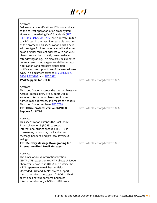

| Abstract:<br>Delivery status notifications (DSNs) are critical<br>to the correct operation of an email system.<br>However, the existing Draft Standards (RFC<br>3461, RFC 3464, RFC 6522) are currently limited<br>to ASCII text in the machine-readable portions<br>of the protocol. This specification adds a new<br>address type for international email addresses<br>so an original recipient address with non-ASCII<br>characters can be correctly preserved even<br>after downgrading. This also provides updated<br>content return media types for delivery status<br>notifications and message disposition<br>notifications to support use of the new address<br>type. This document extends RFC 3461, RFC<br>3464, RFC 3798, and RFC 6522. |                                     |
|-----------------------------------------------------------------------------------------------------------------------------------------------------------------------------------------------------------------------------------------------------------------------------------------------------------------------------------------------------------------------------------------------------------------------------------------------------------------------------------------------------------------------------------------------------------------------------------------------------------------------------------------------------------------------------------------------------------------------------------------------------|-------------------------------------|
| <b>IMAP Support for UTF-8</b>                                                                                                                                                                                                                                                                                                                                                                                                                                                                                                                                                                                                                                                                                                                       | https://tools.ietf.org/html/rfc6855 |
| Abstract:<br>This specification extends the Internet Message<br>Access Protocol (IMAP) to support UTF-8<br>encoded international characters in user<br>names, mail addresses, and message headers.<br>This specification replaces RFC 5738.<br><b>Post Office Protocol Version 3 (POP3)</b><br><b>Support for UTF-8</b>                                                                                                                                                                                                                                                                                                                                                                                                                             | https://tools.ietf.org/html/rfc6856 |
| Abstract:<br>This specification extends the Post Office<br>Protocol version 3 (POP3) to support<br>international strings encoded in UTF-8 in<br>usernames, passwords, mail addresses,<br>message headers, and protocol-level text<br>strings.                                                                                                                                                                                                                                                                                                                                                                                                                                                                                                       |                                     |
| <b>Post-Delivery Message Downgrading for</b>                                                                                                                                                                                                                                                                                                                                                                                                                                                                                                                                                                                                                                                                                                        | https://tools.ietf.org/html/rfc6857 |
| <b>Internationalized Email Messages</b><br>Abstract:<br>The Email Address Internationalization<br>(SMTPUTF8) extension to SMTP allows Unicode<br>characters encoded in UTF-8 and outside the<br>ASCII repertoire in mail header fields.<br>Upgraded POP and IMAP servers support<br>internationalized messages. If a POP or IMAP<br>client does not support Email Address<br>Internationalization, a POP or IMAP server                                                                                                                                                                                                                                                                                                                             |                                     |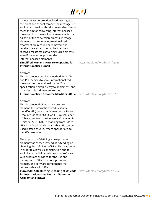

| cannot deliver internationalized messages to<br>the client and cannot remove the message. To<br>avoid that situation, this document describes a<br>mechanism for converting internationalized<br>messages into the traditional message format.<br>As part of the conversion process, message<br>elements that require internationalized<br>treatment are recoded or removed, and<br>receivers are able to recognize that they<br>received messages containing such elements,<br>even if they cannot process the<br>internationalized elements. |                                     |
|------------------------------------------------------------------------------------------------------------------------------------------------------------------------------------------------------------------------------------------------------------------------------------------------------------------------------------------------------------------------------------------------------------------------------------------------------------------------------------------------------------------------------------------------|-------------------------------------|
| <b>Simplified POP and IMAP Downgrading for</b>                                                                                                                                                                                                                                                                                                                                                                                                                                                                                                 | https://tools.ietf.org/html/rfc6858 |
| <b>Internationalized Email</b>                                                                                                                                                                                                                                                                                                                                                                                                                                                                                                                 |                                     |
| Abstract:<br>This document specifies a method for IMAP<br>and POP servers to serve internationalized<br>messages to conventional clients. The<br>specification is simple, easy to implement, and<br>provides only rudimentary results.                                                                                                                                                                                                                                                                                                         |                                     |
| <b>Internationalized Resource Identifiers (IRIs)</b>                                                                                                                                                                                                                                                                                                                                                                                                                                                                                           | https://tools.ietf.org/html/rfc3987 |
| Abstract:<br>This document defines a new protocol<br>element, the Internationalized Resource<br>Identifier (IRI), as a complement to the Uniform<br>Resource Identifier (URI). An IRI is a sequence<br>of characters from the Universal Character Set<br>(Unicode/ISO 10646). A mapping from IRIs to<br>URIs is defined, which means that IRIs can be<br>used instead of URIs, where appropriate, to<br>identify resources.                                                                                                                    |                                     |
| The approach of defining a new protocol<br>element was chosen instead of extending or<br>changing the definition of URIs. This was done<br>in order to allow a clear distinction and to<br>avoid incompatibilities with existing software.<br>Guidelines are provided for the use and<br>deployment of IRIs in various protocols,<br>formats, and software components that<br>currently deal with URIs.                                                                                                                                        |                                     |
| <b>Punycode: A Bootstring Encoding of Unicode</b><br>for Internationalized Domain Names in<br><b>Applications (IDNA)</b>                                                                                                                                                                                                                                                                                                                                                                                                                       | https://tools.ietf.org/html/rfc3492 |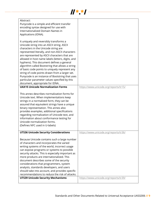

| Abstract:<br>Punycode is a simple and efficient transfer<br>encoding syntax designed for use with<br>Internationalized Domain Names in<br>Applications (IDNA).                                                                                                                                                                                                                                                                                                                                                                                                                                                                    |                                       |
|-----------------------------------------------------------------------------------------------------------------------------------------------------------------------------------------------------------------------------------------------------------------------------------------------------------------------------------------------------------------------------------------------------------------------------------------------------------------------------------------------------------------------------------------------------------------------------------------------------------------------------------|---------------------------------------|
| It uniquely and reversibly transforms a<br>Unicode string into an ASCII string. ASCII<br>characters in the Unicode string are<br>represented literally, and non-ASCII characters<br>are represented by ASCII characters that are<br>allowed in host name labels (letters, digits, and<br>hyphens). This document defines a general<br>algorithm called Bootstring that allows a string<br>of basic code points to uniquely represent any<br>string of code points drawn from a larger set.<br>Punycode is an instance of Bootstring that uses<br>particular parameter values specified by this<br>document, appropriate for IDNA. |                                       |
| <b>UAX15 Unicode Normalization Forms</b>                                                                                                                                                                                                                                                                                                                                                                                                                                                                                                                                                                                          | https://www.unicode.org/reports/tr15/ |
| This annex describes normalization forms for<br>Unicode text. When implementations keep<br>strings in a normalized form, they can be<br>assured that equivalent strings have a unique<br>binary representation. This annex also<br>provides examples, additional specifications<br>regarding normalization of Unicode text, and<br>information about conformance testing for<br>Unicode normalization forms.<br>(Defines NFC used in U-labels)                                                                                                                                                                                    |                                       |
| <b>UTS36 Unicode Security Considerations</b>                                                                                                                                                                                                                                                                                                                                                                                                                                                                                                                                                                                      | https://www.unicode.org/reports/tr36/ |
| Because Unicode contains such a large number<br>of characters and incorporates the varied<br>writing systems of the world, incorrect usage<br>can expose programs or systems to possible<br>security attacks. This is especially important as<br>more products are internationalized. This<br>document describes some of the security<br>considerations that programmers, system<br>analysts, standards developers, and users<br>should take into account, and provides specific<br>recommendations to reduce the risk of attacks.<br><b>UTS39 Unicode Security Mechanisms</b>                                                    | https://www.unicode.org/reports/tr39/ |
|                                                                                                                                                                                                                                                                                                                                                                                                                                                                                                                                                                                                                                   |                                       |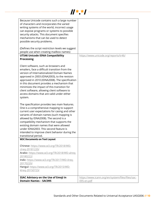

| Because Unicode contains such a large number<br>of characters and incorporates the varied<br>writing systems of the world, incorrect usage<br>can expose programs or systems to possible<br>security attacks. This document specifies<br>mechanisms that can be used to detect<br>possible security problems.                                                                                                                                  |                                                                |
|------------------------------------------------------------------------------------------------------------------------------------------------------------------------------------------------------------------------------------------------------------------------------------------------------------------------------------------------------------------------------------------------------------------------------------------------|----------------------------------------------------------------|
| (Defines the script restriction levels we suggest                                                                                                                                                                                                                                                                                                                                                                                              |                                                                |
| people use when creating mailbox names)                                                                                                                                                                                                                                                                                                                                                                                                        |                                                                |
| <b>UTS46 Unicode IDNA Compatibility</b>                                                                                                                                                                                                                                                                                                                                                                                                        | https://www.unicode.org/reports/tr46/                          |
| <b>Processing</b>                                                                                                                                                                                                                                                                                                                                                                                                                              |                                                                |
| Client software, such as browsers and<br>emailers, face a difficult transition from the<br>version of Internationalized Domain Names<br>approved in 2003 (IDNA2003), to the revision<br>approved in 2010 (IDNA2008). The specification<br>in this document provides a mechanism that<br>minimizes the impact of this transition for<br>client software, allowing client software to<br>access domains that are valid under either<br>system.   |                                                                |
| The specification provides two main features.<br>One is a comprehensive mapping to support<br>current user expectations for casing and other<br>variants of domain names (such mapping is<br>allowed by IDNA2008). The second is a<br>compatibility mechanism that supports the<br>existing domain names that were allowed<br>under IDNA2003. This second feature is<br>intended to improve client behavior during the<br>transitional period. |                                                                |
| <b>W3C Documents on Text Layout</b>                                                                                                                                                                                                                                                                                                                                                                                                            |                                                                |
| Chinese: https://www.w3.org/TR/2018/WD-<br>clreg-20181220/<br>Arabic: https://www.w3.org/TR/2018/WD-alreq-<br>20180222/<br>Indic: https://www.w3.org/TR/2017/WD-ilreq-<br>20170220/<br>Hangul: https://www.w3.org/TR/2015/WD-<br>klreg-20150723/                                                                                                                                                                                               |                                                                |
| SSAC Advisory on the Use of Emoji in<br><b>Domain Names - SAC095</b>                                                                                                                                                                                                                                                                                                                                                                           | https://www.icann.org/en/system/files/files/sac-<br>095-en.pdf |